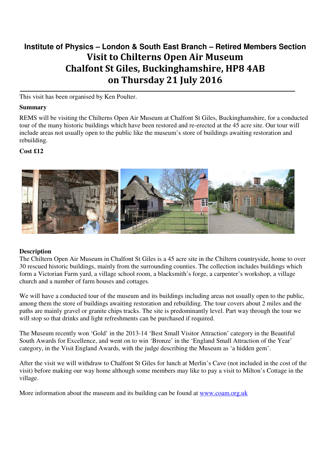# **Institute of Physics – London & South East Branch – Retired Members Section**  Visit to Chilterns Open Air Museum Chalfont St Giles, Buckinghamshire, HP8 4AB on Thursday 21 July 2016

This visit has been organised by Ken Poulter.

#### **Summary**

REMS will be visiting the Chilterns Open Air Museum at Chalfont St Giles, Buckinghamshire, for a conducted tour of the many historic buildings which have been restored and re-erected at the 45 acre site. Our tour will include areas not usually open to the public like the museum's store of buildings awaiting restoration and rebuilding.

## **Cost £12**



## **Description**

The Chiltern Open Air Museum in Chalfont St Giles is a 45 acre site in the Chiltern countryside, home to over 30 rescued historic buildings, mainly from the surrounding counties. The collection includes buildings which form a Victorian Farm yard, a village school room, a blacksmith's forge, a carpenter's workshop, a village church and a number of farm houses and cottages.

We will have a conducted tour of the museum and its buildings including areas not usually open to the public, among them the store of buildings awaiting restoration and rebuilding. The tour covers about 2 miles and the paths are mainly gravel or granite chips tracks. The site is predominantly level. Part way through the tour we will stop so that drinks and light refreshments can be purchased if required.

The Museum recently won 'Gold' in the 2013-14 'Best Small Visitor Attraction' category in the Beautiful South Awards for Excellence, and went on to win 'Bronze' in the 'England Small Attraction of the Year' category, in the Visit England Awards, with the judge describing the Museum as 'a hidden gem'.

After the visit we will withdraw to Chalfont St Giles for lunch at Merlin's Cave (not included in the cost of the visit) before making our way home although some members may like to pay a visit to Milton's Cottage in the village.

More information about the museum and its building can be found at www.coam.org.uk